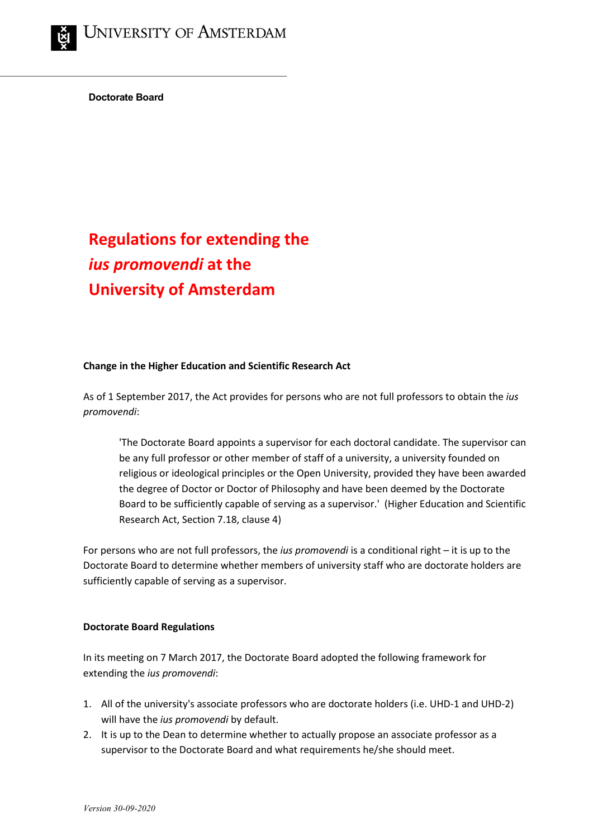**Doctorate Board**

## **Regulations for extending the**  *ius promovendi* **at the University of Amsterdam**

## **Change in the Higher Education and Scientific Research Act**

As of 1 September 2017, the Act provides for persons who are not full professors to obtain the *ius promovendi*:

'The Doctorate Board appoints a supervisor for each doctoral candidate. The supervisor can be any full professor or other member of staff of a university, a university founded on religious or ideological principles or the Open University, provided they have been awarded the degree of Doctor or Doctor of Philosophy and have been deemed by the Doctorate Board to be sufficiently capable of serving as a supervisor.' (Higher Education and Scientific Research Act, Section 7.18, clause 4)

For persons who are not full professors, the *ius promovendi* is a conditional right – it is up to the Doctorate Board to determine whether members of university staff who are doctorate holders are sufficiently capable of serving as a supervisor.

## **Doctorate Board Regulations**

In its meeting on 7 March 2017, the Doctorate Board adopted the following framework for extending the *ius promovendi*:

- 1. All of the university's associate professors who are doctorate holders (i.e. UHD-1 and UHD-2) will have the *ius promovendi* by default.
- 2. It is up to the Dean to determine whether to actually propose an associate professor as a supervisor to the Doctorate Board and what requirements he/she should meet.